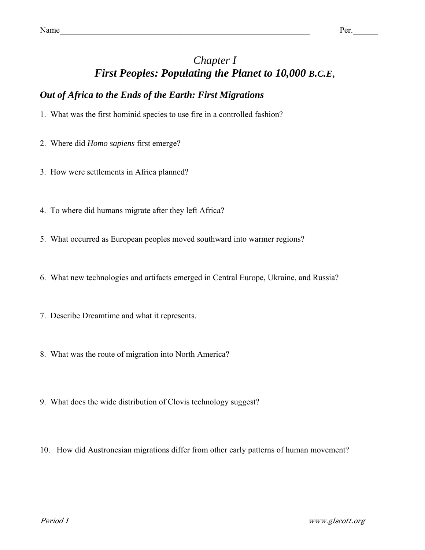# *Chapter I First Peoples: Populating the Planet to 10,000 B.C.E,*

## *Out of Africa to the Ends of the Earth: First Migrations*

- 1. What was the first hominid species to use fire in a controlled fashion?
- 2. Where did *Homo sapiens* first emerge?
- 3. How were settlements in Africa planned?
- 4. To where did humans migrate after they left Africa?
- 5. What occurred as European peoples moved southward into warmer regions?
- 6. What new technologies and artifacts emerged in Central Europe, Ukraine, and Russia?
- 7. Describe Dreamtime and what it represents.
- 8. What was the route of migration into North America?
- 9. What does the wide distribution of Clovis technology suggest?
- 10. How did Austronesian migrations differ from other early patterns of human movement?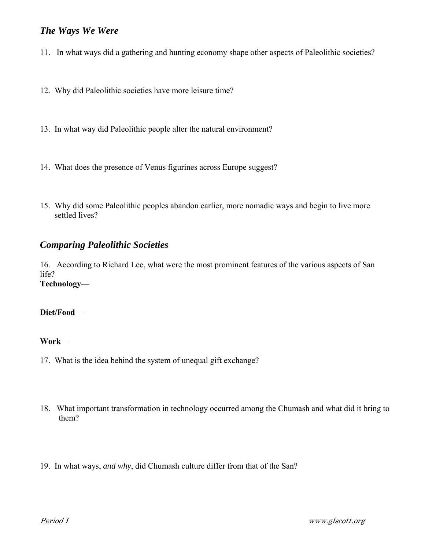### *The Ways We Were*

- 11. In what ways did a gathering and hunting economy shape other aspects of Paleolithic societies?
- 12. Why did Paleolithic societies have more leisure time?
- 13. In what way did Paleolithic people alter the natural environment?
- 14. What does the presence of Venus figurines across Europe suggest?
- 15. Why did some Paleolithic peoples abandon earlier, more nomadic ways and begin to live more settled lives?

### *Comparing Paleolithic Societies*

16. According to Richard Lee, what were the most prominent features of the various aspects of San life? **Technology**—

#### **Diet/Food**—

#### **Work**—

- 17. What is the idea behind the system of unequal gift exchange?
- 18. What important transformation in technology occurred among the Chumash and what did it bring to them?
- 19. In what ways, *and why*, did Chumash culture differ from that of the San?